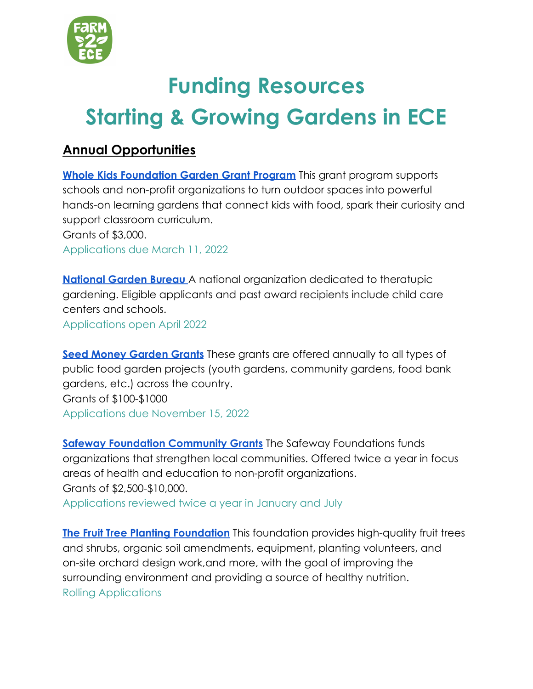

# **Funding Resources Starting & Growing Gardens in ECE**

## **Annual Opportunities**

**[Whole Kids Foundation Garden Grant Program](https://www.wholekidsfoundation.org/programs/school-gardens-grant)** This grant program supports schools and non-profit organizations to turn outdoor spaces into powerful hands-on learning gardens that connect kids with food, spark their curiosity and support classroom curriculum. Grants of \$3,000. Applications due March 11, 2022

**[National Garden Bureau](https://ngb.org/therapeutic-grant-program/)** A national organization dedicated to theratupic gardening. Eligible applicants and past award recipients include child care centers and schools. Applications open April 2022

**[Seed Money Garden Grants](https://seedmoney.org/apply/)** These grants are offered annually to all types of public food garden projects (youth gardens, community gardens, food bank gardens, etc.) across the country. Grants of \$100-\$1000 Applications due November 15, 2022

**[Safeway Foundation Community Grants](http://safewayfoundation.org/get-funded/grant-funding-guidelines-seattle-wa-id-ak/)** The Safeway Foundations funds organizations that strengthen local communities. Offered twice a year in focus areas of health and education to non-profit organizations. Grants of \$2,500-\$10,000. Applications reviewed twice a year in January and July

**[The Fruit Tree Planting Foundation](https://www.ftpf.org/apply)** This foundation provides high-quality fruit trees and shrubs, organic soil amendments, equipment, planting volunteers, and on-site orchard design work,and more, with the goal of improving the surrounding environment and providing a source of healthy nutrition. Rolling Applications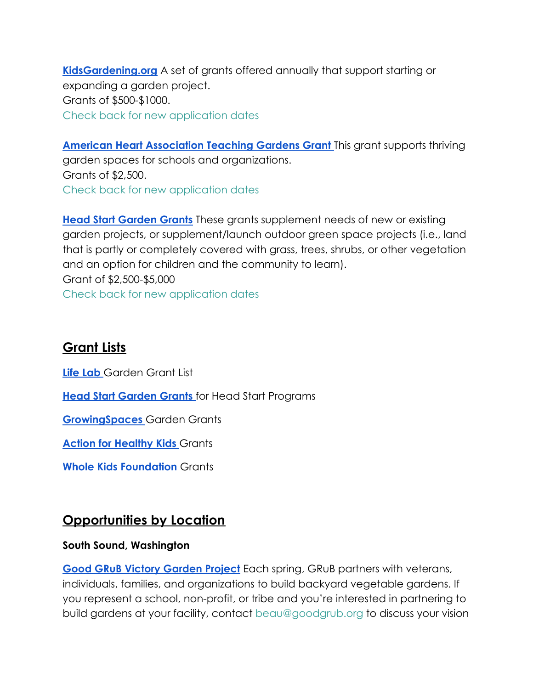**[KidsGardening.org](https://kidsgardening.org/grant-opportunities/)** A set of grants offered annually that support starting or expanding a garden project. Grants of \$500-\$1000. Check back for new application dates

**[American Heart Association Teaching Gardens Grant](https://www.heart.org/en/professional/educator/teaching-gardens/teaching-gardens-grant)** This grant supports thriving garden spaces for schools and organizations. Grants of \$2,500. Check back for new application dates

**[Head Start Garden Grants](https://nhsa.org/gromoregood-garden-grants/)** These grants supplement needs of new or existing garden projects, or supplement/launch outdoor green space projects (i.e., land that is partly or completely covered with grass, trees, shrubs, or other vegetation and an option for children and the community to learn). Grant of \$2,500-\$5,000 Check back for new application dates

## **Grant Lists**

**[Life Lab](https://lifelab.org/2020/03/grant-searching/)** Garden Grant List

**[Head Start Garden Grants](https://nhsa.org/gromoregood-garden-grants/)** for Head Start Programs

**[GrowingSpaces](https://growingspaces.com/gardening-grants/#school)** Garden Grants

**[Action for Healthy Kids](http://actionforhealthykids.org/grants-support)** Grants

**[Whole Kids Foundation](https://www.wholekidsfoundation.org/programsns-grant)** Grants

## **Opportunities by Location**

#### **South Sound, Washington**

**[Good GRuB Victory Garden Project](https://www.goodgrub.org/victory-garden-project)** Each spring, GRuB partners with veterans, individuals, families, and organizations to build backyard vegetable gardens. If you represent a school, non-profit, or tribe and you're interested in partnering to build gardens at your facility, contact beau@goodgrub.org to discuss your vision